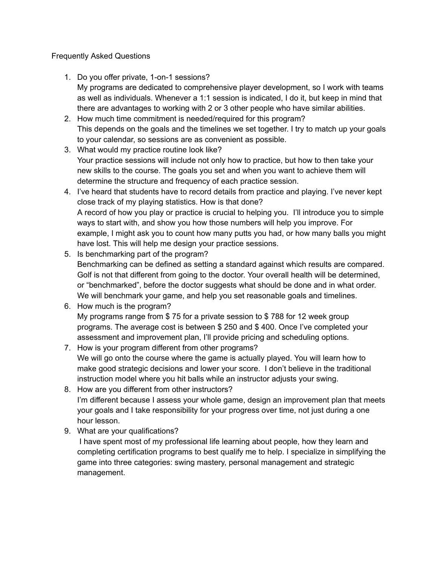## Frequently Asked Questions

- 1. Do you offer private, 1-on-1 sessions? My programs are dedicated to comprehensive player development, so I work with teams as well as individuals. Whenever a 1:1 session is indicated, I do it, but keep in mind that there are advantages to working with 2 or 3 other people who have similar abilities.
- 2. How much time commitment is needed/required for this program? This depends on the goals and the timelines we set together. I try to match up your goals to your calendar, so sessions are as convenient as possible.
- 3. What would my practice routine look like? Your practice sessions will include not only how to practice, but how to then take your new skills to the course. The goals you set and when you want to achieve them will determine the structure and frequency of each practice session.
- 4. I've heard that students have to record details from practice and playing. I've never kept close track of my playing statistics. How is that done? A record of how you play or practice is crucial to helping you. I'll introduce you to simple ways to start with, and show you how those numbers will help you improve. For example, I might ask you to count how many putts you had, or how many balls you might have lost. This will help me design your practice sessions.
- 5. Is benchmarking part of the program? Benchmarking can be defined as setting a standard against which results are compared. Golf is not that different from going to the doctor. Your overall health will be determined, or "benchmarked", before the doctor suggests what should be done and in what order. We will benchmark your game, and help you set reasonable goals and timelines.
- 6. How much is the program? My programs range from \$ 75 for a private session to \$ 788 for 12 week group programs. The average cost is between \$ 250 and \$ 400. Once I've completed your assessment and improvement plan, I'll provide pricing and scheduling options.
- 7. How is your program different from other programs? We will go onto the course where the game is actually played. You will learn how to make good strategic decisions and lower your score. I don't believe in the traditional instruction model where you hit balls while an instructor adjusts your swing.
- 8. How are you different from other instructors? I'm different because I assess your whole game, design an improvement plan that meets your goals and I take responsibility for your progress over time, not just during a one hour lesson.
- 9. What are your qualifications?

I have spent most of my professional life learning about people, how they learn and completing certification programs to best qualify me to help. I specialize in simplifying the game into three categories: swing mastery, personal management and strategic management.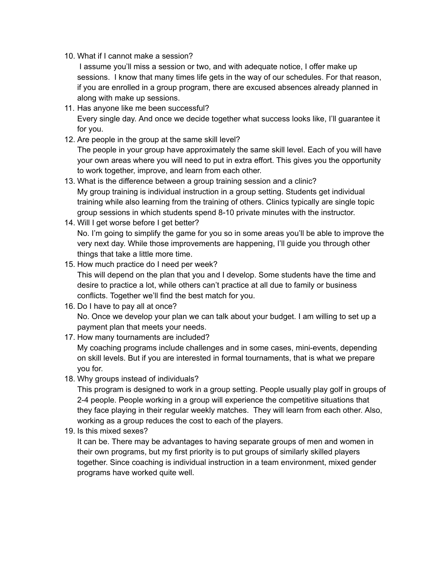10. What if I cannot make a session?

I assume you'll miss a session or two, and with adequate notice, I offer make up sessions. I know that many times life gets in the way of our schedules. For that reason, if you are enrolled in a group program, there are excused absences already planned in along with make up sessions.

- 11. Has anyone like me been successful? Every single day. And once we decide together what success looks like, I'll guarantee it for you.
- 12. Are people in the group at the same skill level? The people in your group have approximately the same skill level. Each of you will have your own areas where you will need to put in extra effort. This gives you the opportunity to work together, improve, and learn from each other.
- 13. What is the difference between a group training session and a clinic? My group training is individual instruction in a group setting. Students get individual training while also learning from the training of others. Clinics typically are single topic group sessions in which students spend 8-10 private minutes with the instructor.
- 14. Will I get worse before I get better? No. I'm going to simplify the game for you so in some areas you'll be able to improve the very next day. While those improvements are happening, I'll guide you through other things that take a little more time.
- 15. How much practice do I need per week?

This will depend on the plan that you and I develop. Some students have the time and desire to practice a lot, while others can't practice at all due to family or business conflicts. Together we'll find the best match for you.

16. Do I have to pay all at once?

No. Once we develop your plan we can talk about your budget. I am willing to set up a payment plan that meets your needs.

17. How many tournaments are included?

My coaching programs include challenges and in some cases, mini-events, depending on skill levels. But if you are interested in formal tournaments, that is what we prepare you for.

18. Why groups instead of individuals?

This program is designed to work in a group setting. People usually play golf in groups of 2-4 people. People working in a group will experience the competitive situations that they face playing in their regular weekly matches. They will learn from each other. Also, working as a group reduces the cost to each of the players.

19. Is this mixed sexes?

It can be. There may be advantages to having separate groups of men and women in their own programs, but my first priority is to put groups of similarly skilled players together. Since coaching is individual instruction in a team environment, mixed gender programs have worked quite well.